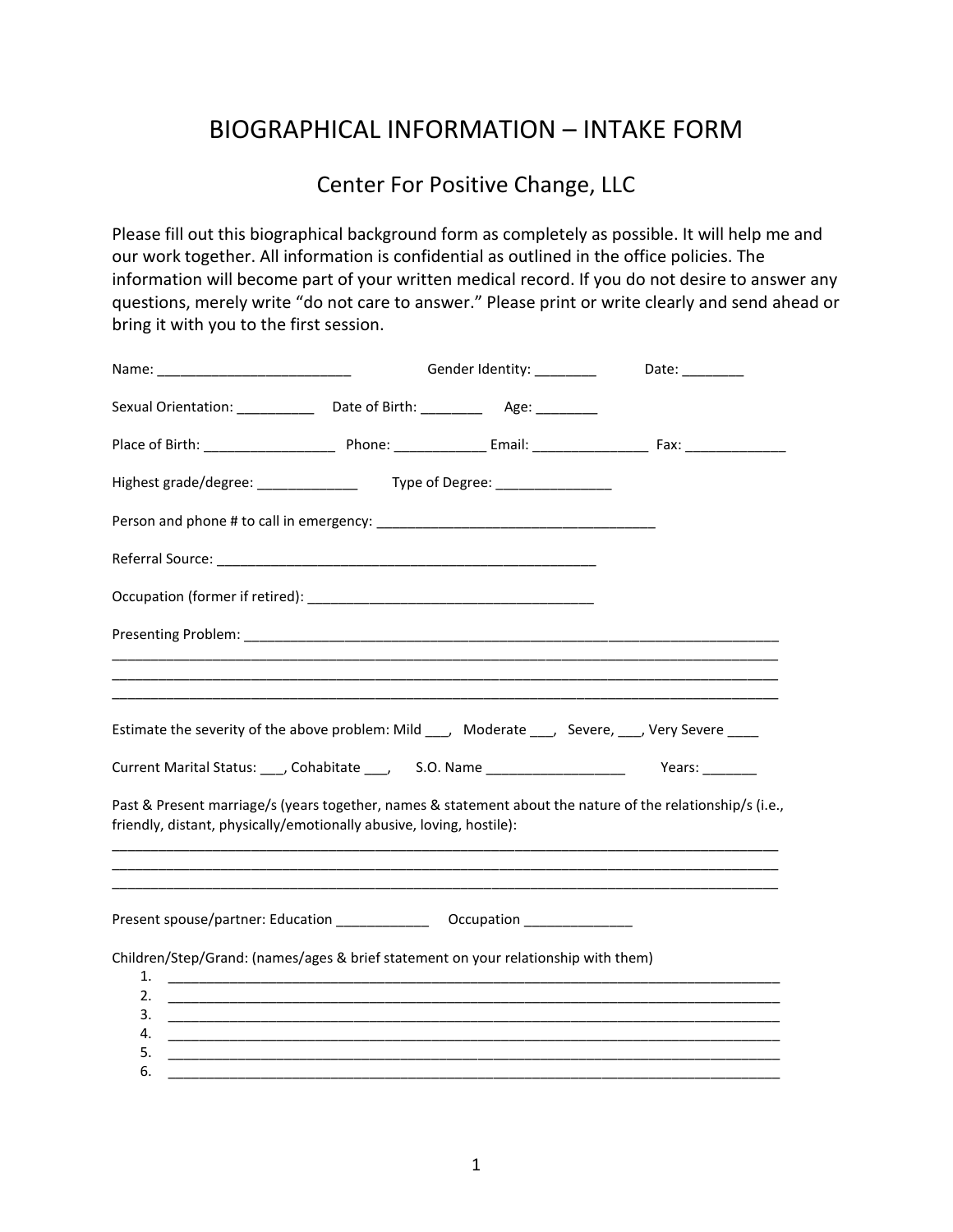## BIOGRAPHICAL INFORMATION – INTAKE FORM

## Center For Positive Change, LLC

Please fill out this biographical background form as completely as possible. It will help me and our work together. All information is confidential as outlined in the office policies. The information will become part of your written medical record. If you do not desire to answer any questions, merely write "do not care to answer." Please print or write clearly and send ahead or bring it with you to the first session.

|                                                                                                   |  | Gender Identity: _________ | Date: ________                                                                                             |
|---------------------------------------------------------------------------------------------------|--|----------------------------|------------------------------------------------------------------------------------------------------------|
| Sexual Orientation: ______________ Date of Birth: ____________ Age: ___________                   |  |                            |                                                                                                            |
|                                                                                                   |  |                            |                                                                                                            |
|                                                                                                   |  |                            |                                                                                                            |
|                                                                                                   |  |                            |                                                                                                            |
|                                                                                                   |  |                            |                                                                                                            |
|                                                                                                   |  |                            |                                                                                                            |
|                                                                                                   |  |                            |                                                                                                            |
|                                                                                                   |  |                            |                                                                                                            |
| Estimate the severity of the above problem: Mild ___, Moderate ___, Severe, ___, Very Severe ____ |  |                            |                                                                                                            |
| Current Marital Status: ___, Cohabitate ___, S.O. Name ___________________ Years: _______         |  |                            |                                                                                                            |
| friendly, distant, physically/emotionally abusive, loving, hostile):                              |  |                            | Past & Present marriage/s (years together, names & statement about the nature of the relationship/s (i.e., |
|                                                                                                   |  |                            |                                                                                                            |
| Children/Step/Grand: (names/ages & brief statement on your relationship with them)<br>1.          |  |                            |                                                                                                            |
| 2.                                                                                                |  |                            |                                                                                                            |
| 3.<br>4.                                                                                          |  |                            |                                                                                                            |
| 5.                                                                                                |  |                            |                                                                                                            |
| 6.                                                                                                |  |                            |                                                                                                            |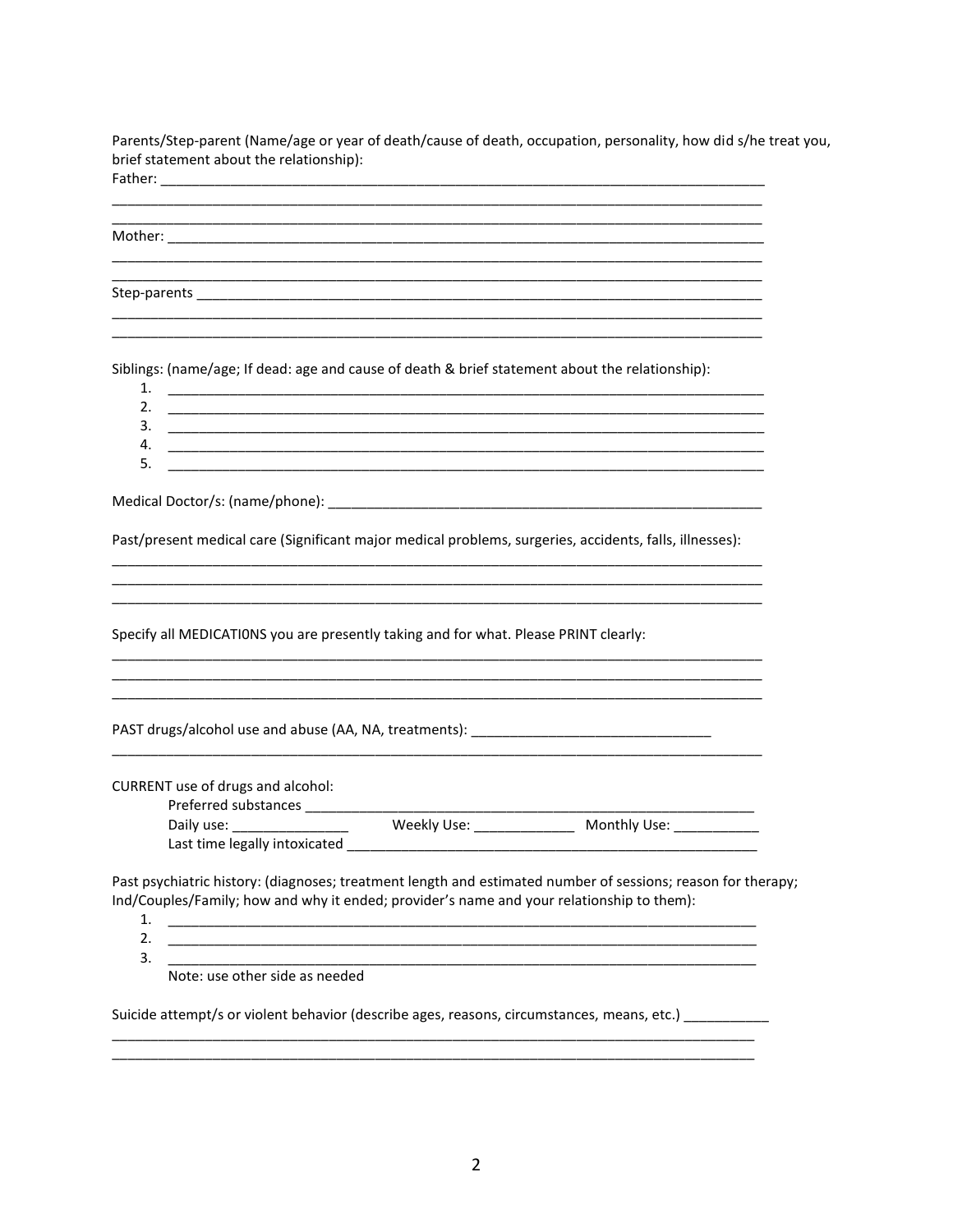Parents/Step-parent (Name/age or year of death/cause of death, occupation, personality, how did s/he treat you, brief statement about the relationship): Father<sup>.</sup>

| .       |  |                                                                                                                       |  |
|---------|--|-----------------------------------------------------------------------------------------------------------------------|--|
|         |  |                                                                                                                       |  |
|         |  |                                                                                                                       |  |
| Mother: |  | <u> 1989 - Johann Stoff, deutscher Stoff, der Stoff, der Stoff, der Stoff, der Stoff, der Stoff, der Stoff, der S</u> |  |
|         |  |                                                                                                                       |  |
|         |  |                                                                                                                       |  |
|         |  |                                                                                                                       |  |
|         |  |                                                                                                                       |  |
|         |  |                                                                                                                       |  |

Siblings: (name/age; If dead: age and cause of death & brief statement about the relationship):

| <b>.</b>         |  |
|------------------|--|
| ∽<br><u>. . </u> |  |
| ∍<br>. ب         |  |
| 4.               |  |
| 5<br>. ب         |  |

Past/present medical care (Significant major medical problems, surgeries, accidents, falls, illnesses):

Specify all MEDICATIONS you are presently taking and for what. Please PRINT clearly:

PAST drugs/alcohol use and abuse (AA, NA, treatments): \_\_\_\_\_\_\_\_\_\_\_\_\_\_\_\_\_\_\_\_\_\_\_\_\_\_\_\_\_\_\_\_

CURRENT use of drugs and alcohol:

| Daily use:                    | Weekly Use: | Monthly Use: |
|-------------------------------|-------------|--------------|
| Last time legally intoxicated |             |              |

Past psychiatric history: (diagnoses; treatment length and estimated number of sessions; reason for therapy; Ind/Couples/Family; how and why it ended; provider's name and your relationship to them):

<u> 1980 - Johann John Stone, market fan it fjort fan it fjort fan it fjort fan it fjort fan it fjort fan it fjort</u>

- $1.$ <u> 1990 - Jan James James James James James James James James James James James James James James James James J</u>
- $2.$  $3.$

Note: use other side as needed

Suicide attempt/s or violent behavior (describe ages, reasons, circumstances, means, etc.)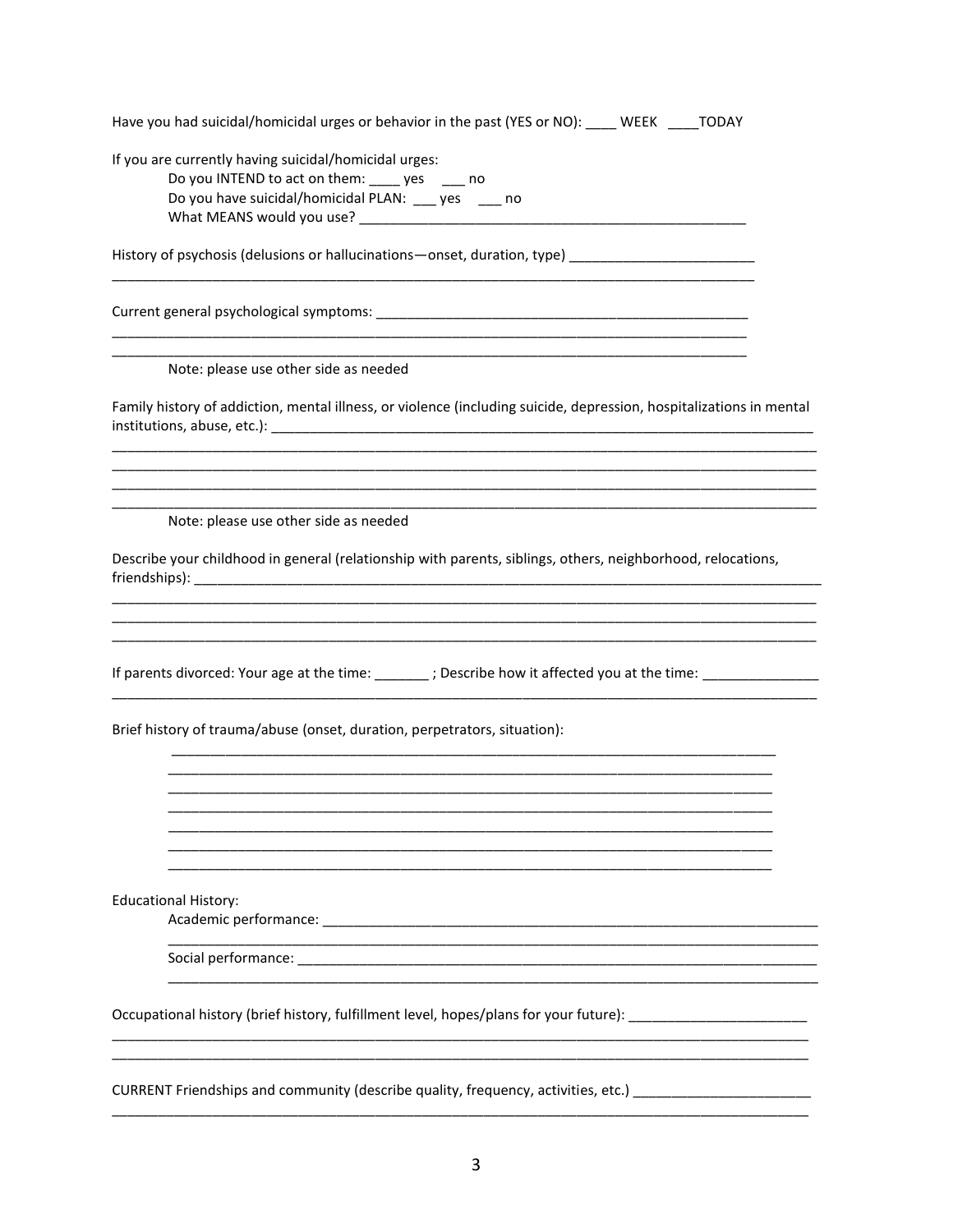| Have you had suicidal/homicidal urges or behavior in the past (YES or NO): ____ WEEK ____TODAY                                                                                                                                          |
|-----------------------------------------------------------------------------------------------------------------------------------------------------------------------------------------------------------------------------------------|
| If you are currently having suicidal/homicidal urges:<br>Do you INTEND to act on them: ____ yes ___ no<br>Do you have suicidal/homicidal PLAN: ___ yes ___ no                                                                           |
|                                                                                                                                                                                                                                         |
| History of psychosis (delusions or hallucinations-onset, duration, type) ___________________________                                                                                                                                    |
|                                                                                                                                                                                                                                         |
| Note: please use other side as needed                                                                                                                                                                                                   |
| Family history of addiction, mental illness, or violence (including suicide, depression, hospitalizations in mental                                                                                                                     |
|                                                                                                                                                                                                                                         |
| Note: please use other side as needed<br>Describe your childhood in general (relationship with parents, siblings, others, neighborhood, relocations,                                                                                    |
| If parents divorced: Your age at the time: ______; Describe how it affected you at the time: _____________                                                                                                                              |
| Brief history of trauma/abuse (onset, duration, perpetrators, situation):                                                                                                                                                               |
|                                                                                                                                                                                                                                         |
|                                                                                                                                                                                                                                         |
| <b>Educational History:</b>                                                                                                                                                                                                             |
|                                                                                                                                                                                                                                         |
| Occupational history (brief history, fulfillment level, hopes/plans for your future): ________________________                                                                                                                          |
| <u> 1989 - Johann Harry Harry Harry Harry Harry Harry Harry Harry Harry Harry Harry Harry Harry Harry Harry Harry</u><br>CURRENT Friendships and community (describe quality, frequency, activities, etc.) ____________________________ |